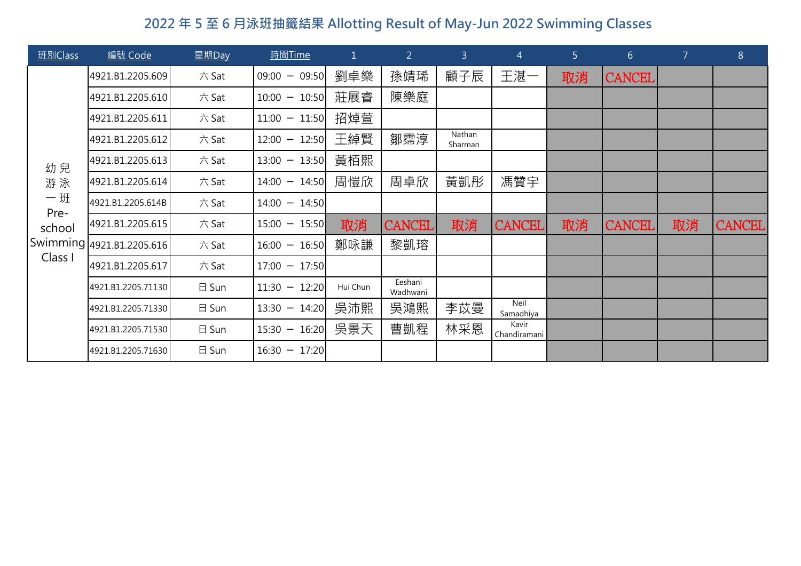| 班別Class      | 編號 Code                   | 星期Day           | 時間Time          | $\mathbf{1}$ | $\overline{2}$      | 3 <sup>1</sup>    | $\overline{4}$           | 5 <sup>1</sup> | 6 <sup>1</sup> | $\overline{7}$ | 8             |
|--------------|---------------------------|-----------------|-----------------|--------------|---------------------|-------------------|--------------------------|----------------|----------------|----------------|---------------|
|              | 4921.B1.2205.609          | 六 Sat           | $09:00 - 09:50$ | 劉卓樂          | 孫靖琋                 | 顧子辰               | 王湛一                      | 取消             | <b>CANCEL</b>  |                |               |
|              | 4921.B1.2205.610          | 六 Sat           | $10:00 - 10:50$ | 莊展睿          | 陳樂庭                 |                   |                          |                |                |                |               |
|              | 4921.B1.2205.611          | 六 Sat           | $11:00 - 11:50$ | 招焯萱          |                     |                   |                          |                |                |                |               |
|              | 4921.B1.2205.612          | 六 Sat           | $12:00 - 12:50$ | 王綽賢          | 鄒霈淳                 | Nathan<br>Sharman |                          |                |                |                |               |
| 幼兒           | 4921.B1.2205.613          | 六 Sat           | $13:00 - 13:50$ | 黃栢熙          |                     |                   |                          |                |                |                |               |
| 游泳           | 4921.B1.2205.614          | 六 Sat           | $14:00 - 14:50$ | 周愷欣          | 周卓欣                 | 黃凱彤               | 馮贊宇                      |                |                |                |               |
| $-Y$<br>Pre- | 4921.B1.2205.614B         | 六 Sat           | $14:00 - 14:50$ |              |                     |                   |                          |                |                |                |               |
| school       | 4921.B1.2205.615          | 六 Sat           | $15:00 - 15:50$ | 取消           | <b>CANCEL</b>       | 取消                | <b>CANCEL</b>            | 取消             | <b>CANCEL</b>  | 取消             | <b>CANCEL</b> |
|              | Swimming 4921.B1.2205.616 | 六 Sat           | $16:00 - 16:50$ | 鄭咏謙          | 黎凱瑢                 |                   |                          |                |                |                |               |
| Class I      | 4921.B1.2205.617          | 六 Sat           | $17:00 - 17:50$ |              |                     |                   |                          |                |                |                |               |
|              | 4921.B1.2205.71130        | 日 Sun           | $11:30 - 12:20$ | Hui Chun     | Eeshani<br>Wadhwani |                   |                          |                |                |                |               |
|              | 4921.B1.2205.71330        | $\boxminus$ Sun | $13:30 - 14:20$ | 吳沛熙          | 吳鴻熙                 | 李苡曼               | <b>Neil</b><br>Samadhiya |                |                |                |               |
|              | 4921.B1.2205.71530        | 日 Sun           | $15:30 - 16:20$ | 吳景天          | 曹凱程                 | 林采恩               | Kavir<br>Chandiramani    |                |                |                |               |
|              | 4921.B1.2205.71630        | $\boxminus$ Sun | $16:30 - 17:20$ |              |                     |                   |                          |                |                |                |               |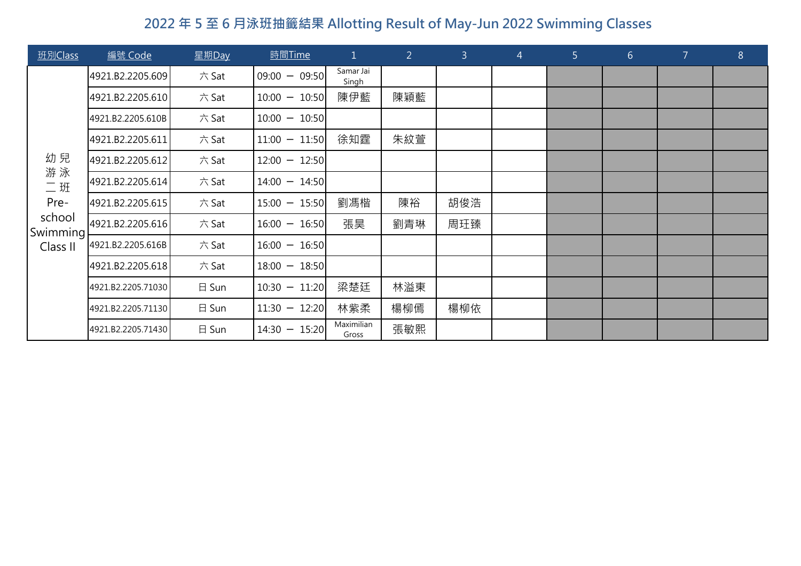| 班別Class            | 編號 Code            | 星期Day           | 時間Time          | $\mathbf{1}$        | $\overline{2}$ | 3 <sup>1</sup> | $\overline{4}$ | 5 <sup>1</sup> | 6 <sup>1</sup> | $\overline{7}$ | $8\phantom{.}$ |
|--------------------|--------------------|-----------------|-----------------|---------------------|----------------|----------------|----------------|----------------|----------------|----------------|----------------|
|                    | 4921.B2.2205.609   | 六Sat            | $09:00 - 09:50$ | Samar Jai<br>Singh  |                |                |                |                |                |                |                |
|                    | 4921.B2.2205.610   | 六Sat            | $10:00 - 10:50$ | 陳伊藍                 | 陳穎藍            |                |                |                |                |                |                |
|                    | 4921.B2.2205.610B  | 六Sat            | $10:00 - 10:50$ |                     |                |                |                |                |                |                |                |
|                    | 4921.B2.2205.611   | 六Sat            | $11:00 - 11:50$ | 徐知霆                 | 朱紋萱            |                |                |                |                |                |                |
| 幼兒                 | 4921.B2.2205.612   | 六Sat            | $12:00 - 12:50$ |                     |                |                |                |                |                |                |                |
| 游泳<br>$\equiv$ 班   | 4921.B2.2205.614   | 六Sat            | $14:00 - 14:50$ |                     |                |                |                |                |                |                |                |
| Pre-               | 4921.B2.2205.615   | 六 Sat           | $15:00 - 15:50$ | 劉馮楷                 | 陳裕             | 胡俊浩            |                |                |                |                |                |
| school<br>Swimming | 4921.B2.2205.616   | 六Sat            | $16:00 - 16:50$ | 張昊                  | 劉青琳            | 周玨臻            |                |                |                |                |                |
| Class II           | 4921.B2.2205.616B  | 六Sat            | $16:00 - 16:50$ |                     |                |                |                |                |                |                |                |
|                    | 4921.B2.2205.618   | 六Sat            | $18:00 - 18:50$ |                     |                |                |                |                |                |                |                |
|                    | 4921.B2.2205.71030 | 日 Sun           | $10:30 - 11:20$ | 梁楚廷                 | 林溢東            |                |                |                |                |                |                |
|                    | 4921.B2.2205.71130 | $\boxminus$ Sun | $11:30 - 12:20$ | 林紫柔                 | 楊柳傿            | 楊柳依            |                |                |                |                |                |
|                    | 4921.B2.2205.71430 | $\boxminus$ Sun | $14:30 - 15:20$ | Maximilian<br>Gross | 張敏熙            |                |                |                |                |                |                |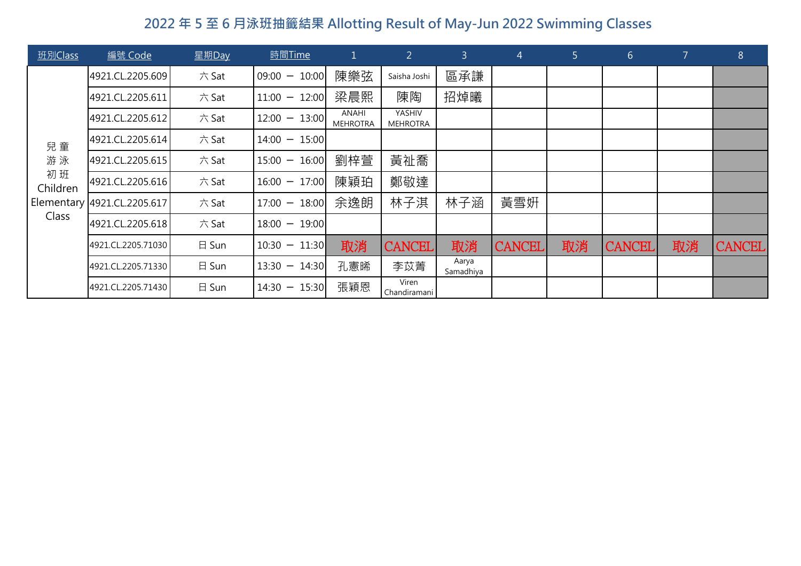| 班別Class                             | 編號 Code                     | 星期Day           | 時間Time             |                          | $\overline{2}$            | $\overline{3}$     | $\overline{4}$ | 5  | $6 \overline{6}$ | $\overline{7}$ | $8\phantom{1}$ |
|-------------------------------------|-----------------------------|-----------------|--------------------|--------------------------|---------------------------|--------------------|----------------|----|------------------|----------------|----------------|
| 兒童<br>游泳<br>初班<br>Children<br>Class | 4921.CL.2205.609            | 六 Sat           | $09:00 -$<br>10:00 | 陳樂弦                      | Saisha Joshi              | 區承謙                |                |    |                  |                |                |
|                                     | 4921.CL.2205.611            | 六 Sat           | 12:00<br>$11:00 -$ | 梁晨熙                      | 陳陶                        | 招焯曦                |                |    |                  |                |                |
|                                     | 4921.CL.2205.612            | 六 Sat           | $12:00 - 13:00$    | ANAHI<br><b>MEHROTRA</b> | YASHIV<br><b>MEHROTRA</b> |                    |                |    |                  |                |                |
|                                     | 4921.CL.2205.614            | 六 Sat           | $14:00 - 15:00$    |                          |                           |                    |                |    |                  |                |                |
|                                     | 4921.CL.2205.615            | 六 Sat           | $15:00 - 16:00$    | 劉梓萱                      | 黃祉喬                       |                    |                |    |                  |                |                |
|                                     | 4921.CL.2205.616            | 六 Sat           | $16:00 - 17:00$    | 陳穎珀                      | 鄭敬達                       |                    |                |    |                  |                |                |
|                                     | Elementary 4921.CL.2205.617 | 六 Sat           | $17:00 - 18:00$    | 余逸朗                      | 林子淇                       | 林子涵                | 黃雪妍            |    |                  |                |                |
|                                     | 4921.CL.2205.618            | 六 Sat           | 19:00<br>$18:00 -$ |                          |                           |                    |                |    |                  |                |                |
|                                     | 4921.CL.2205.71030          | $\boxminus$ Sun | $10:30 -$<br>11:30 | 取消                       | <b>CANCEL</b>             | 取消                 | <b>CANCEL</b>  | 取消 | <b>CANCEL</b>    | 取消             | <b>CANCEL</b>  |
|                                     | 4921.CL.2205.71330          | $\boxminus$ Sun | $13:30 -$<br>14:30 | 孔憲晞                      | 李苡菁                       | Aarya<br>Samadhiya |                |    |                  |                |                |
|                                     | 4921.CL.2205.71430          | 日 Sun           | 15:30<br>$14:30 -$ | 張穎恩                      | Viren<br>Chandiramani     |                    |                |    |                  |                |                |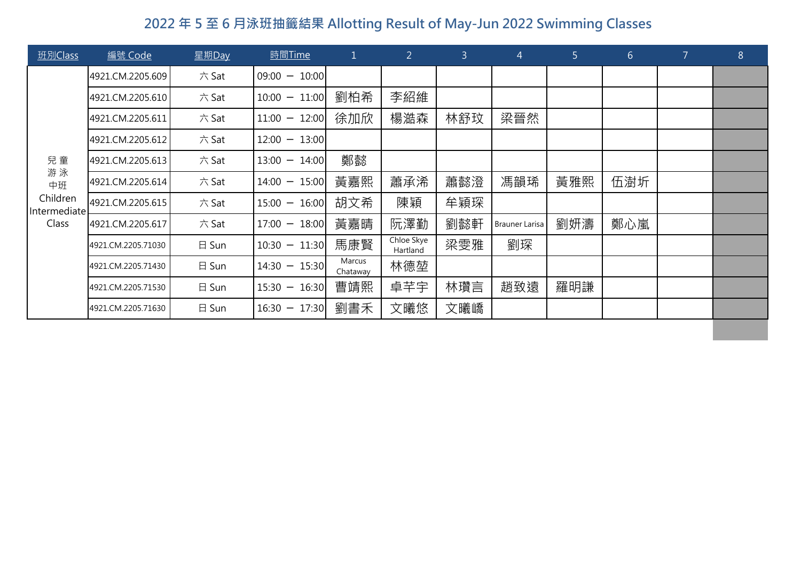| 班別Class                  | 編號 Code            | 星期Day           | <b>時間Time</b>      | $\mathbf{1}$       | $\overline{2}$         | 3   | $\overline{4}$        | 5 <sup>1</sup> | 6 <sup>1</sup> | $\overline{7}$ | $8\phantom{.}$ |
|--------------------------|--------------------|-----------------|--------------------|--------------------|------------------------|-----|-----------------------|----------------|----------------|----------------|----------------|
|                          | 4921.CM.2205.609   | 六 Sat           | $09:00 - 10:00$    |                    |                        |     |                       |                |                |                |                |
|                          | 4921.CM.2205.610   | 六 Sat           | $10:00 - 11:00$    | 劉柏希                | 李紹維                    |     |                       |                |                |                |                |
|                          | 4921.CM.2205.611   | 六 Sat           | $11:00 - 12:00$    | 徐加欣                | 楊澔森                    | 林舒玟 | 梁晉然                   |                |                |                |                |
|                          | 4921.CM.2205.612   | 六 Sat           | $12:00 -$<br>13:00 |                    |                        |     |                       |                |                |                |                |
| 兒童                       | 4921.CM.2205.613   | 六 Sat           | $13:00 -$<br>14:00 | 鄭懿                 |                        |     |                       |                |                |                |                |
| 游泳<br>中班                 | 4921.CM.2205.614   | 六 Sat           | $14:00 - 15:00$    | 黃嘉熙                | 蕭承浠                    | 蕭懿澄 | 馮韻琋                   | 黃雅熙            | 伍澍圻            |                |                |
| Children<br>Intermediate | 4921.CM.2205.615   | 六 Sat           | $15:00 - 16:00$    | 胡文希                | 陳穎                     | 牟穎琛 |                       |                |                |                |                |
| Class                    | 4921.CM.2205.617   | 六 Sat           | $17:00 - 18:00$    | 黃嘉晴                | 阮澤勤                    | 劉懿軒 | <b>Brauner Larisa</b> | 劉妍濤            | 鄭心嵐            |                |                |
|                          | 4921.CM.2205.71030 | $\boxminus$ Sun | $10:30 -$<br>11:30 | 馬康賢                | Chloe Skye<br>Hartland | 梁雯雅 | 劉琛                    |                |                |                |                |
|                          | 4921.CM.2205.71430 | $\boxminus$ Sun | $14:30 - 15:30$    | Marcus<br>Chataway | 林德堃                    |     |                       |                |                |                |                |
|                          | 4921.CM.2205.71530 | $\boxminus$ Sun | $15:30 - 16:30$    | 曹靖熙                | 卓芊宇                    | 林瓚言 | 趙致遠                   | 羅明謙            |                |                |                |
|                          | 4921.CM.2205.71630 | $\boxminus$ Sun | 17:30<br>$16:30 -$ | 劉書禾                | 文曦悠                    | 文曦嶠 |                       |                |                |                |                |
|                          |                    |                 |                    |                    |                        |     |                       |                |                |                |                |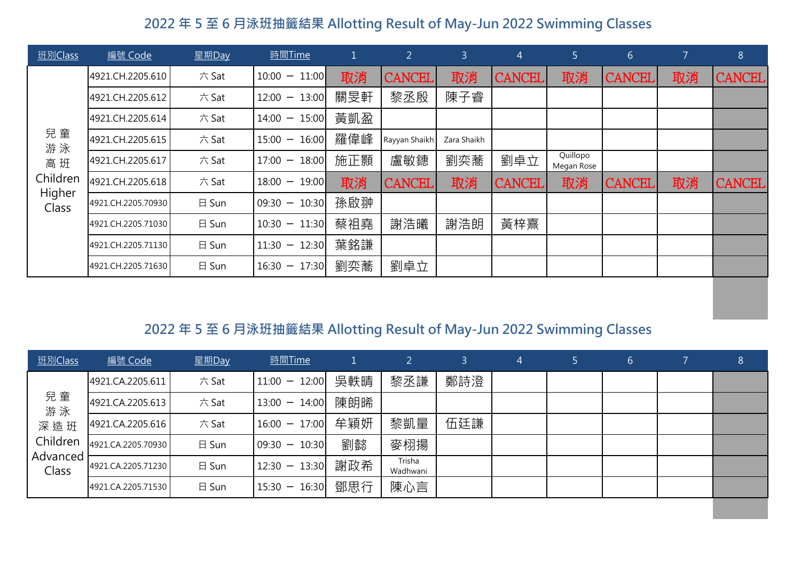| 班別Class         | 編號 Code            | 星期Day | 時間Time                                            |     | $\overline{2}$ | $\overline{3}$ | $\overline{4}$ | 5                      | $6 \overline{6}$ | 7  | $8\,$         |
|-----------------|--------------------|-------|---------------------------------------------------|-----|----------------|----------------|----------------|------------------------|------------------|----|---------------|
|                 | 4921.CH.2205.610   | 六 Sat | $10:00 - 11:00$                                   | 取消  | <b>CANCEL</b>  | 取消             | <b>CANCEL</b>  | 取消                     | <b>CANCEL</b>    | 取消 | <b>CANCEL</b> |
|                 | 4921.CH.2205.612   | 六 Sat | 13:00<br>$12:00 -$                                | 關旻軒 | 黎丞殷            | 陳子睿            |                |                        |                  |    |               |
|                 | 4921.CH.2205.614   | 六 Sat | $14:00 - 15:00$                                   | 黃凱盈 |                |                |                |                        |                  |    |               |
| 兒童<br>游泳        | 4921.CH.2205.615   | 六 Sat | $15:00 - 16:00$                                   | 羅偉峰 | Rayyan Shaikh  | Zara Shaikh    |                |                        |                  |    |               |
| 高班              | 4921.CH.2205.617   | 六 Sat | 18:00<br>17:00<br>$\hspace{0.1mm}-\hspace{0.1mm}$ | 施正顥 | 盧敏鏸            | 劉奕蕎            | 劉卓立            | Quillopo<br>Megan Rose |                  |    |               |
| Children        | 4921.CH.2205.618   | 六 Sat | $18:00 - 19:00$                                   | 取消  | <b>CANCEL</b>  | 取消             | <b>CANCEL</b>  | 取消                     | <b>CANCEL</b>    | 取消 | <b>CANCEL</b> |
| Higher<br>Class | 4921.CH.2205.70930 | 日 Sun | $09:30 - 10:30$                                   | 孫啟翀 |                |                |                |                        |                  |    |               |
|                 | 4921.CH.2205.71030 | 日 Sun | $10:30 - 11:30$                                   | 蔡祖堯 | 謝浩曦            | 謝浩朗            | 黃梓熹            |                        |                  |    |               |
|                 | 4921.CH.2205.71130 | 日 Sun | $11:30 - 12:30$                                   | 葉銘謙 |                |                |                |                        |                  |    |               |
|                 | 4921.CH.2205.71630 | 日 Sun | 17:30<br>$16:30 -$                                | 劉奕蕎 | 劉卓立            |                |                |                        |                  |    |               |

| 班別Class           | 編號 Code            | 星期Day | <u>時間Time</u>   |     |                    | 3.  | $\overline{A}$ | 6 <sub>1</sub> | 8 |
|-------------------|--------------------|-------|-----------------|-----|--------------------|-----|----------------|----------------|---|
|                   | 4921.CA.2205.611   | 六 Sat | $11:00 - 12:00$ | 吳軼晴 | 黎丞謙                | 鄭詩澄 |                |                |   |
| 兒童<br>游泳          | 4921.CA.2205.613   | 六 Sat | $13:00 - 14:00$ | 陳朗晞 |                    |     |                |                |   |
| 深造班               | 4921.CA.2205.616   | 六 Sat | $16:00 - 17:00$ | 牟穎妍 | 黎凱量                | 伍廷謙 |                |                |   |
| Children          | 4921.CA.2205.70930 | 日 Sun | $09:30 - 10:30$ | 劉懿  | 麥栩揚                |     |                |                |   |
| Advanced<br>Class | 4921.CA.2205.71230 | 日 Sun | $12:30 - 13:30$ | 謝政希 | Trisha<br>Wadhwani |     |                |                |   |
|                   | 4921.CA.2205.71530 | 日 Sun | $15:30 - 16:30$ | 鄧思行 | 陳心言                |     |                |                |   |
|                   |                    |       |                 |     |                    |     |                |                |   |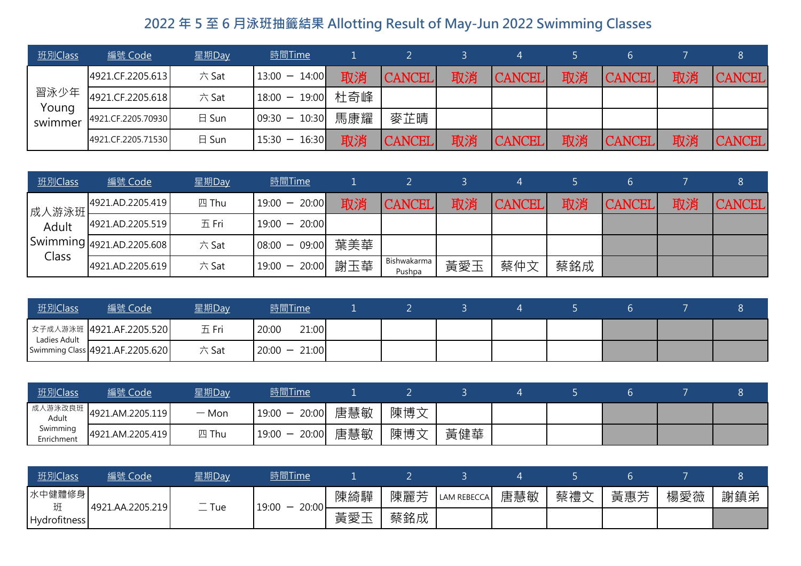| 班別Class       | <u>編號 Code</u>     | 星期Day | <u>時間Time</u>     |     |               |    |               |    |               |    | 8             |
|---------------|--------------------|-------|-------------------|-----|---------------|----|---------------|----|---------------|----|---------------|
| 習泳少年<br>Young | 4921.CF.2205.613   | 六 Sat | $13:00 - 14:00$   | 取消  | <b>CANCEL</b> | 取消 | <b>CANCEL</b> | 取消 | <b>CANCEL</b> | 取消 | <b>CANCEL</b> |
|               | 4921.CF.2205.618   | 六 Sat | 18:00 - 19:00 杜奇峰 |     |               |    |               |    |               |    |               |
| swimmer       | 4921.CF.2205.70930 | 日 Sun | $09:30 - 10:30$   | 馬康耀 | 麥芷晴           |    |               |    |               |    |               |
|               | 4921.CF.2205.71530 | 日 Sun | $15:30 - 16:30$   | 取消  | <b>CANCEL</b> | 取消 | <b>CANCEL</b> | 取消 | <b>CANCEL</b> | 取消 | <b>CANCEL</b> |

| 班別Class         | <u>編號 Code</u>                                        | 星期Day | <u>時間Time</u>      |    |                       |     |               |     |               |    |               |
|-----------------|-------------------------------------------------------|-------|--------------------|----|-----------------------|-----|---------------|-----|---------------|----|---------------|
|                 | 4921.AD.2205.419                                      | 四 Thu | $19:00 - 20:00$    | 取消 | <b>CANCEL</b>         | 取消  | <b>CANCEL</b> | 取消  | <b>CANCEL</b> | 取消 | <b>CANCEL</b> |
| 成人游泳班 <br>Adult | 4921.AD.2205.519                                      | 五 Fri | $19:00 - 20:00$    |    |                       |     |               |     |               |    |               |
| Class           | $\left $ Swimming $\right $ 4921.AD.2205.608 $\left $ | 六 Sat | 08:00 - 09:00  葉美華 |    |                       |     |               |     |               |    |               |
|                 | 4921.AD.2205.619                                      | 六 Sat | 19:00 - 20:00  謝玉華 |    | Bishwakarma<br>Pushpa | 黃愛玉 | 蔡仲文           | 蔡銘成 |               |    |               |

| __ 班別Class   | 編號 Code                         | 星期Day | 時間Time          |  |  |  |  |
|--------------|---------------------------------|-------|-----------------|--|--|--|--|
| Ladies Adult | ■ 女子成人游泳班   4921.AF.2205.520    | 五 Fri | 21:00<br>20:00  |  |  |  |  |
|              | Swimming Class 4921.AF.2205.620 | 六 Sat | $20:00 - 21:00$ |  |  |  |  |

| <u>班別Class</u>         | 編號 Code                  | 星期Day   | 時間Time             |     |     |  |  |  |
|------------------------|--------------------------|---------|--------------------|-----|-----|--|--|--|
| Adult                  | 成人游泳改良班 4921.AM.2205.119 | $-$ Mon | 19:00 - 20:00  唐慧敏 | 陳博文 |     |  |  |  |
| Swimming<br>Enrichment | 4921.AM.2205.419         | 四 Thu   | 19:00 - 20:00  唐慧敏 | 陳博文 | 黃健華 |  |  |  |

| 班別Class      | 編號 Code          | 星期Day   | 時間Time             |      |     |                    |     |     |     |     |     |
|--------------|------------------|---------|--------------------|------|-----|--------------------|-----|-----|-----|-----|-----|
| 水中健體修身       | 4921.AA.2205.219 | $-$ Tue | 20:00<br>$19:00 -$ | 陳綺驊  | 陳麗芳 | <b>LAM REBECCA</b> | 唐慧敏 | 蔡禮文 | 黃惠芳 | 楊愛薇 | 謝鎮弟 |
| Hydrofitness |                  |         |                    | ,黃愛工 | 蔡銘成 |                    |     |     |     |     |     |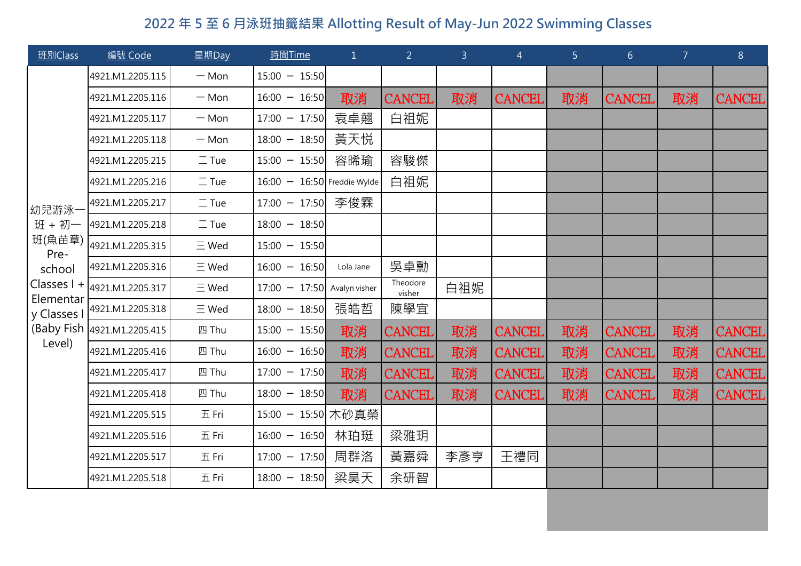| 班別Class        | 編號 Code                                                    | 星期Day        | 時間Time                        | $\mathbf{1}$ | 2 <sup>1</sup>     | $\overline{3}$ | $\overline{4}$ | 5 <sup>1</sup> | 6 <sup>1</sup> | $\overline{7}$ | 8             |
|----------------|------------------------------------------------------------|--------------|-------------------------------|--------------|--------------------|----------------|----------------|----------------|----------------|----------------|---------------|
|                | 4921.M1.2205.115                                           | $-$ Mon      | $15:00 - 15:50$               |              |                    |                |                |                |                |                |               |
|                | 4921.M1.2205.116                                           | $-$ Mon      | $16:00 - 16:50$               | 取消           | <b>CANCEL</b>      | 取消             | <b>CANCEL</b>  | 取消             | <b>CANCEL</b>  | 取消             | <b>CANCEL</b> |
|                | 4921.M1.2205.117                                           | $-$ Mon      | $17:00 - 17:50$               | 袁卓翹          | 白祖妮                |                |                |                |                |                |               |
|                | 4921.M1.2205.118                                           | $-$ Mon      | $18:00 - 18:50$               | 黃天悦          |                    |                |                |                |                |                |               |
|                | 4921.M1.2205.215                                           | $\equiv$ Tue | $15:00 - 15:50$               | 容晞瑜          | 容駿傑                |                |                |                |                |                |               |
|                | 4921.M1.2205.216                                           | $\equiv$ Tue | $16:00 - 16:50$ Freddie Wylde |              | 白祖妮                |                |                |                |                |                |               |
| 幼兒游泳-          | 4921.M1.2205.217                                           | $\equiv$ Tue | $17:00 - 17:50$               | 李俊霖          |                    |                |                |                |                |                |               |
| 班 + 初一         | 4921.M1.2205.218                                           | $\equiv$ Tue | $18:00 - 18:50$               |              |                    |                |                |                |                |                |               |
| 班(魚苗章)<br>Pre- | 4921.M1.2205.315                                           | $\equiv$ Wed | $15:00 - 15:50$               |              |                    |                |                |                |                |                |               |
| school         | 4921.M1.2205.316                                           | $\equiv$ Wed | $16:00 - 16:50$               | Lola Jane    | 吳卓勳                |                |                |                |                |                |               |
| Elementar      | Classes $1 +  _{4921.M1.2205.317}$                         | $\equiv$ Wed | $17:00 - 17:50$ Avalyn visher |              | Theodore<br>visher | 白祖妮            |                |                |                |                |               |
|                | $\frac{1}{2}$ y Classes I $\frac{1}{2}$ (4921.M1.2205.318) | $\equiv$ Wed | $18:00 - 18:50$               | 張皓哲          | 陳學宜                |                |                |                |                |                |               |
|                | (Baby Fish 4921.M1.2205.415                                | 四 Thu        | $15:00 - 15:50$               | 取消           | <b>CANCEL</b>      | 取消             | <b>CANCEL</b>  | 取消             | <b>CANCEL</b>  | 取消             | <b>CANCEL</b> |
| Level)         | 4921.M1.2205.416                                           | 四 Thu        | $16:00 - 16:50$               | 取消           | <b>CANCEL</b>      | 取消             | <b>CANCEL</b>  | 取消             | <b>CANCEL</b>  | 取消             | <b>CANCEL</b> |
|                | 4921.M1.2205.417                                           | 四 Thu        | $17:00 - 17:50$               | 取消           | <b>CANCEL</b>      | 取消             | <b>CANCEL</b>  | 取消             | <b>CANCEL</b>  | 取消             | <b>CANCEL</b> |
|                | 4921.M1.2205.418                                           | 四 Thu        | $18:00 - 18:50$               | 取消           | <b>CANCEL</b>      | 取消             | <b>CANCEL</b>  | 取消             | <b>CANCEL</b>  | 取消             | <b>CANCEL</b> |
|                | 4921.M1.2205.515                                           | 五 Fri        | 15:00 - 15:50 木砂真榮            |              |                    |                |                |                |                |                |               |
|                | 4921.M1.2205.516                                           | 五 Fri        | $16:00 - 16:50$               | 林珀珽          | 梁雅玥                |                |                |                |                |                |               |
|                | 4921.M1.2205.517                                           | 五 Fri        | $17:00 - 17:50$               | 周群洛          | 黃嘉舜                | 李彥亨            | 王禮同            |                |                |                |               |
|                | 4921.M1.2205.518                                           | 五 Fri        | $18:00 - 18:50$               | 梁昊天          | 余研智                |                |                |                |                |                |               |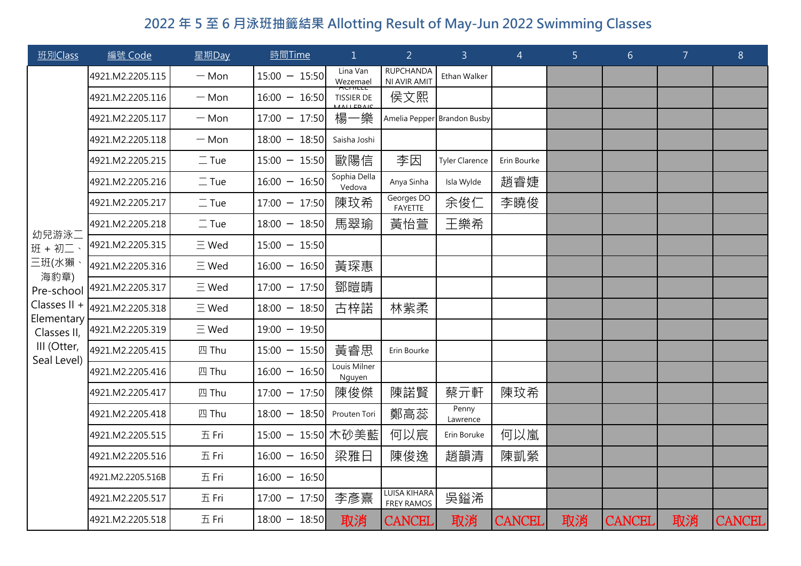| 班別Class                                                                                                                    | 編號 Code           | 星期Day        | 時間Time             | $\mathbf{1}$                 | $\overline{2}$                    | 3 <sup>1</sup>              | $\overline{4}$ | 5 <sub>1</sub> | 6 <sup>1</sup> | $\overline{7}$ | 8             |
|----------------------------------------------------------------------------------------------------------------------------|-------------------|--------------|--------------------|------------------------------|-----------------------------------|-----------------------------|----------------|----------------|----------------|----------------|---------------|
| 幼兒游泳二<br>班 + 初二、<br>三班(水獺<br>海豹章)<br>Pre-school<br>Classes II +<br>Elementary<br>Classes II,<br>III (Otter,<br>Seal Level) | 4921.M2.2205.115  | $-$ Mon      | $15:00 - 15:50$    | Lina Van<br>Wezemael         | <b>RUPCHANDA</b><br>NI AVIR AMIT  | Ethan Walker                |                |                |                |                |               |
|                                                                                                                            | 4921.M2.2205.116  | $-$ Mon      | $16:00 - 16:50$    | AUTHLLL<br><b>TISSIER DE</b> | 侯文熙                               |                             |                |                |                |                |               |
|                                                                                                                            | 4921.M2.2205.117  | $-$ Mon      | $17:00 - 17:50$    | 楊一樂                          |                                   | Amelia Pepper Brandon Busby |                |                |                |                |               |
|                                                                                                                            | 4921.M2.2205.118  | $-$ Mon      | $18:00 - 18:50$    | Saisha Joshi                 |                                   |                             |                |                |                |                |               |
|                                                                                                                            | 4921.M2.2205.215  | $\equiv$ Tue | $15:00 - 15:50$    | 歐陽信                          | 李因                                | <b>Tyler Clarence</b>       | Erin Bourke    |                |                |                |               |
|                                                                                                                            | 4921.M2.2205.216  | $\equiv$ Tue | $16:00 - 16:50$    | Sophia Della<br>Vedova       | Anya Sinha                        | Isla Wylde                  | 趙睿婕            |                |                |                |               |
|                                                                                                                            | 4921.M2.2205.217  | $\equiv$ Tue | $17:00 - 17:50$    | 陳玟希                          | Georges DO<br>FAYETTE             | 余俊仁                         | 李曉俊            |                |                |                |               |
|                                                                                                                            | 4921.M2.2205.218  | $\equiv$ Tue | $18:00 - 18:50$    | 馬翠瑜                          | 黃怡萱                               | 王樂希                         |                |                |                |                |               |
|                                                                                                                            | 4921.M2.2205.315  | $\equiv$ Wed | $15:00 - 15:50$    |                              |                                   |                             |                |                |                |                |               |
|                                                                                                                            | 4921.M2.2205.316  | $\equiv$ Wed | $16:00 - 16:50$    | 黃琛惠                          |                                   |                             |                |                |                |                |               |
|                                                                                                                            | 4921.M2.2205.317  | $\equiv$ Wed | $17:00 - 17:50$    | 鄧暟晴                          |                                   |                             |                |                |                |                |               |
|                                                                                                                            | 4921.M2.2205.318  | $\equiv$ Wed | $18:00 - 18:50$    | 古梓諾                          | 林紫柔                               |                             |                |                |                |                |               |
|                                                                                                                            | 4921.M2.2205.319  | $\equiv$ Wed | $19:00 - 19:50$    |                              |                                   |                             |                |                |                |                |               |
|                                                                                                                            | 4921.M2.2205.415  | 四 Thu        | $15:00 - 15:50$    | 黃睿思                          | Erin Bourke                       |                             |                |                |                |                |               |
|                                                                                                                            | 4921.M2.2205.416  | 四 Thu        | $16:00 - 16:50$    | Louis Milner<br>Nguyen       |                                   |                             |                |                |                |                |               |
|                                                                                                                            | 4921.M2.2205.417  | 四 Thu        | $17:00 - 17:50$    | 陳俊傑                          | 陳諾賢                               | 蔡亓軒                         | 陳玟希            |                |                |                |               |
|                                                                                                                            | 4921.M2.2205.418  | 四 Thu        | $18:00 - 18:50$    | Prouten Tori                 | 鄭高蕊                               | Penny<br>Lawrence           |                |                |                |                |               |
|                                                                                                                            | 4921.M2.2205.515  | 五 Fri        | 15:00 - 15:50 木砂美藍 |                              | 何以宸                               | Erin Boruke                 | 何以嵐            |                |                |                |               |
|                                                                                                                            | 4921.M2.2205.516  | 五 Fri        | $16:00 - 16:50$    | 梁雅日                          | 陳俊逸                               | 趙韻清                         | 陳凱縈            |                |                |                |               |
|                                                                                                                            | 4921.M2.2205.516B | 五 Fri        | $16:00 - 16:50$    |                              |                                   |                             |                |                |                |                |               |
|                                                                                                                            | 4921.M2.2205.517  | 五 Fri        | $17:00 - 17:50$    | 李彥熹                          | LUISA KIHARA<br><b>FREY RAMOS</b> | 吳鎰浠                         |                |                |                |                |               |
|                                                                                                                            | 4921.M2.2205.518  | 五Fri         | $18:00 - 18:50$    | 取消                           | CANCEL                            | 取消                          | CANCEL         | 取消             | <b>CANCEL</b>  | 取消             | <b>CANCEL</b> |